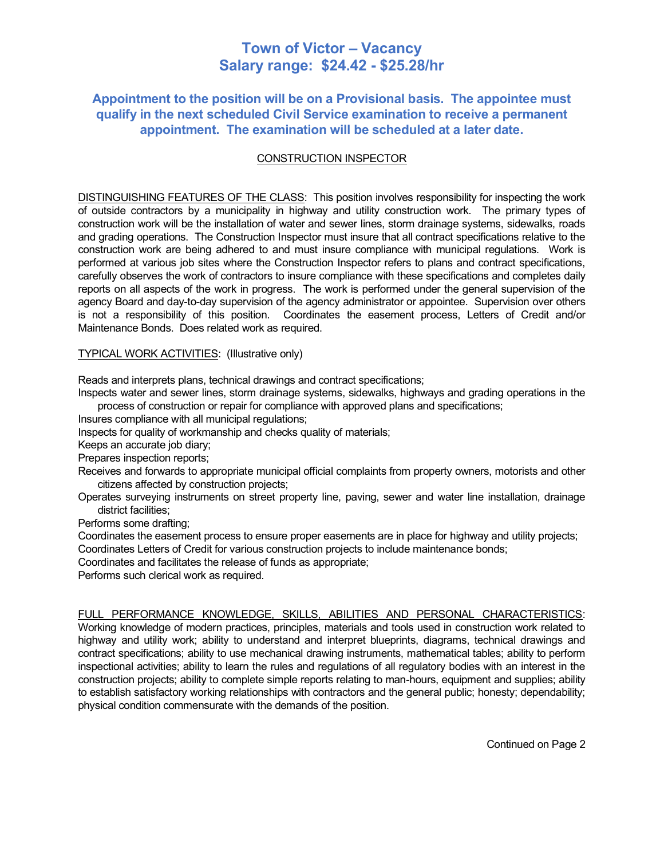# **Town of Victor – Vacancy Salary range: \$24.42 - \$25.28/hr**

# **Appointment to the position will be on a Provisional basis. The appointee must qualify in the next scheduled Civil Service examination to receive a permanent appointment. The examination will be scheduled at a later date.**

## CONSTRUCTION INSPECTOR

DISTINGUISHING FEATURES OF THE CLASS: This position involves responsibility for inspecting the work of outside contractors by a municipality in highway and utility construction work. The primary types of construction work will be the installation of water and sewer lines, storm drainage systems, sidewalks, roads and grading operations. The Construction Inspector must insure that all contract specifications relative to the construction work are being adhered to and must insure compliance with municipal regulations. Work is performed at various job sites where the Construction Inspector refers to plans and contract specifications, carefully observes the work of contractors to insure compliance with these specifications and completes daily reports on all aspects of the work in progress. The work is performed under the general supervision of the agency Board and day-to-day supervision of the agency administrator or appointee. Supervision over others is not a responsibility of this position. Coordinates the easement process, Letters of Credit and/or Maintenance Bonds. Does related work as required.

#### TYPICAL WORK ACTIVITIES: (Illustrative only)

Reads and interprets plans, technical drawings and contract specifications;

Inspects water and sewer lines, storm drainage systems, sidewalks, highways and grading operations in the process of construction or repair for compliance with approved plans and specifications;

Insures compliance with all municipal regulations;

Inspects for quality of workmanship and checks quality of materials;

Keeps an accurate job diary;

Prepares inspection reports;

Receives and forwards to appropriate municipal official complaints from property owners, motorists and other citizens affected by construction projects;

Operates surveying instruments on street property line, paving, sewer and water line installation, drainage district facilities;

Performs some drafting;

Coordinates the easement process to ensure proper easements are in place for highway and utility projects; Coordinates Letters of Credit for various construction projects to include maintenance bonds;

Coordinates and facilitates the release of funds as appropriate;

Performs such clerical work as required.

#### FULL PERFORMANCE KNOWLEDGE, SKILLS, ABILITIES AND PERSONAL CHARACTERISTICS:

Working knowledge of modern practices, principles, materials and tools used in construction work related to highway and utility work; ability to understand and interpret blueprints, diagrams, technical drawings and contract specifications; ability to use mechanical drawing instruments, mathematical tables; ability to perform inspectional activities; ability to learn the rules and regulations of all regulatory bodies with an interest in the construction projects; ability to complete simple reports relating to man-hours, equipment and supplies; ability to establish satisfactory working relationships with contractors and the general public; honesty; dependability; physical condition commensurate with the demands of the position.

Continued on Page 2